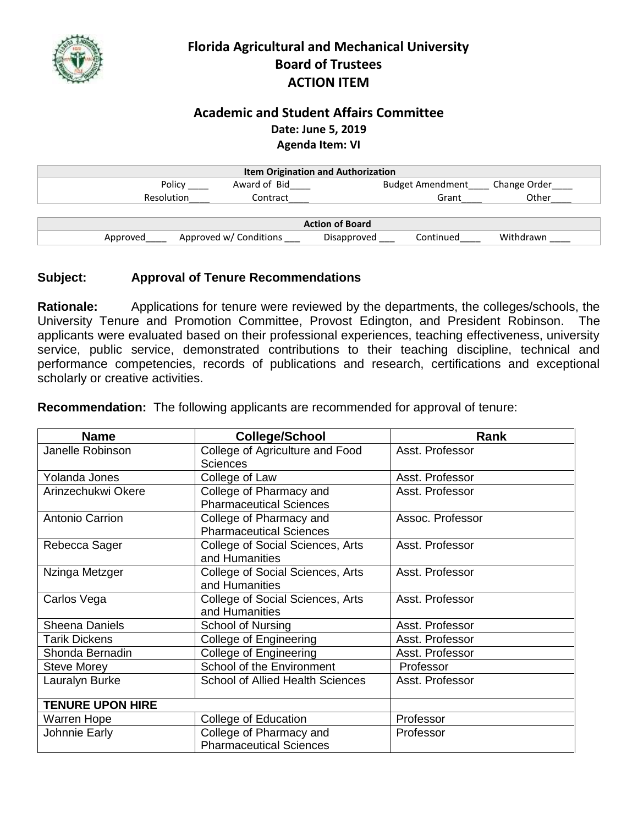

## **Florida Agricultural and Mechanical University Board of Trustees ACTION ITEM**

## **Academic and Student Affairs Committee Date: June 5, 2019 Agenda Item: VI**

| <b>Item Origination and Authorization</b> |                        |                          |              |  |  |
|-------------------------------------------|------------------------|--------------------------|--------------|--|--|
| Policy                                    | Award of Bid           | <b>Budget Amendment</b>  | Change Order |  |  |
| Resolution                                | Contract               | Grant                    | Other        |  |  |
|                                           |                        |                          |              |  |  |
| <b>Action of Board</b>                    |                        |                          |              |  |  |
| Approved                                  | Approved w/ Conditions | Continued<br>Disapproved | Withdrawn    |  |  |

## **Subject: Approval of Tenure Recommendations**

**Rationale:** Applications for tenure were reviewed by the departments, the colleges/schools, the University Tenure and Promotion Committee, Provost Edington, and President Robinson. The applicants were evaluated based on their professional experiences, teaching effectiveness, university service, public service, demonstrated contributions to their teaching discipline, technical and performance competencies, records of publications and research, certifications and exceptional scholarly or creative activities.

| <b>Name</b>             | <b>College/School</b>                                     | Rank             |
|-------------------------|-----------------------------------------------------------|------------------|
| Janelle Robinson        | College of Agriculture and Food<br><b>Sciences</b>        | Asst. Professor  |
| Yolanda Jones           | College of Law                                            | Asst. Professor  |
| Arinzechukwi Okere      | College of Pharmacy and<br><b>Pharmaceutical Sciences</b> | Asst. Professor  |
| <b>Antonio Carrion</b>  | College of Pharmacy and<br><b>Pharmaceutical Sciences</b> | Assoc. Professor |
| Rebecca Sager           | College of Social Sciences, Arts<br>and Humanities        | Asst. Professor  |
| Nzinga Metzger          | College of Social Sciences, Arts<br>and Humanities        | Asst. Professor  |
| Carlos Vega             | College of Social Sciences, Arts<br>and Humanities        | Asst. Professor  |
| <b>Sheena Daniels</b>   | School of Nursing                                         | Asst. Professor  |
| <b>Tarik Dickens</b>    | College of Engineering                                    | Asst. Professor  |
| Shonda Bernadin         | <b>College of Engineering</b>                             | Asst. Professor  |
| <b>Steve Morey</b>      | School of the Environment                                 | Professor        |
| Lauralyn Burke          | <b>School of Allied Health Sciences</b>                   | Asst. Professor  |
| <b>TENURE UPON HIRE</b> |                                                           |                  |
| Warren Hope             | College of Education                                      | Professor        |
| Johnnie Early           | College of Pharmacy and<br><b>Pharmaceutical Sciences</b> | Professor        |

**Recommendation:** The following applicants are recommended for approval of tenure: